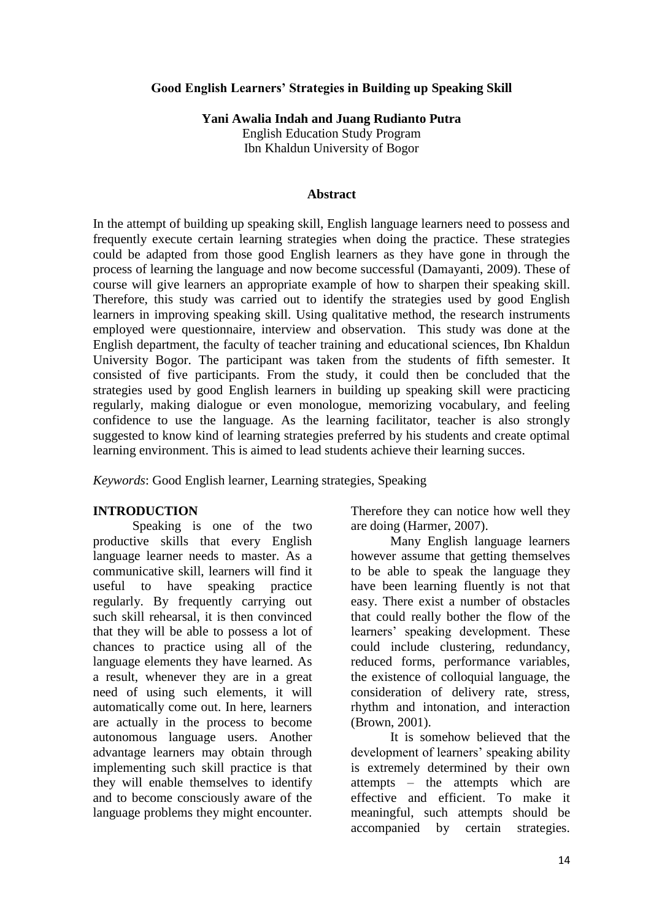#### **Good English Learners' Strategies in Building up Speaking Skill**

**Yani Awalia Indah and Juang Rudianto Putra** English Education Study Program

Ibn Khaldun University of Bogor

#### **Abstract**

In the attempt of building up speaking skill, English language learners need to possess and frequently execute certain learning strategies when doing the practice. These strategies could be adapted from those good English learners as they have gone in through the process of learning the language and now become successful (Damayanti, 2009). These of course will give learners an appropriate example of how to sharpen their speaking skill. Therefore, this study was carried out to identify the strategies used by good English learners in improving speaking skill. Using qualitative method, the research instruments employed were questionnaire, interview and observation. This study was done at the English department, the faculty of teacher training and educational sciences, Ibn Khaldun University Bogor. The participant was taken from the students of fifth semester. It consisted of five participants. From the study, it could then be concluded that the strategies used by good English learners in building up speaking skill were practicing regularly, making dialogue or even monologue, memorizing vocabulary, and feeling confidence to use the language. As the learning facilitator, teacher is also strongly suggested to know kind of learning strategies preferred by his students and create optimal learning environment. This is aimed to lead students achieve their learning succes.

*Keywords*: Good English learner, Learning strategies, Speaking

#### **INTRODUCTION**

Speaking is one of the two productive skills that every English language learner needs to master. As a communicative skill, learners will find it useful to have speaking practice regularly. By frequently carrying out such skill rehearsal, it is then convinced that they will be able to possess a lot of chances to practice using all of the language elements they have learned. As a result, whenever they are in a great need of using such elements, it will automatically come out. In here, learners are actually in the process to become autonomous language users. Another advantage learners may obtain through implementing such skill practice is that they will enable themselves to identify and to become consciously aware of the language problems they might encounter.

Therefore they can notice how well they are doing (Harmer, 2007).

Many English language learners however assume that getting themselves to be able to speak the language they have been learning fluently is not that easy. There exist a number of obstacles that could really bother the flow of the learners' speaking development. These could include clustering, redundancy, reduced forms, performance variables, the existence of colloquial language, the consideration of delivery rate, stress, rhythm and intonation, and interaction (Brown, 2001).

It is somehow believed that the development of learners' speaking ability is extremely determined by their own attempts – the attempts which are effective and efficient. To make it meaningful, such attempts should be accompanied by certain strategies.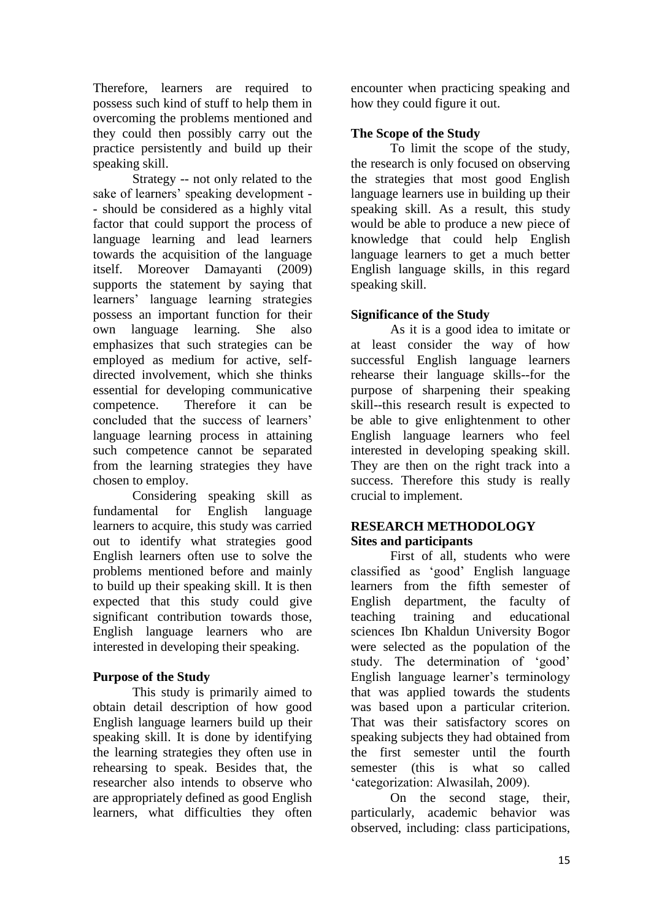Therefore, learners are required to possess such kind of stuff to help them in overcoming the problems mentioned and they could then possibly carry out the practice persistently and build up their speaking skill.

Strategy -- not only related to the sake of learners' speaking development - - should be considered as a highly vital factor that could support the process of language learning and lead learners towards the acquisition of the language itself. Moreover Damayanti (2009) supports the statement by saying that learners' language learning strategies possess an important function for their own language learning. She also emphasizes that such strategies can be employed as medium for active, selfdirected involvement, which she thinks essential for developing communicative competence. Therefore it can be concluded that the success of learners' language learning process in attaining such competence cannot be separated from the learning strategies they have chosen to employ.

Considering speaking skill as fundamental for English language learners to acquire, this study was carried out to identify what strategies good English learners often use to solve the problems mentioned before and mainly to build up their speaking skill. It is then expected that this study could give significant contribution towards those, English language learners who are interested in developing their speaking.

### **Purpose of the Study**

This study is primarily aimed to obtain detail description of how good English language learners build up their speaking skill. It is done by identifying the learning strategies they often use in rehearsing to speak. Besides that, the researcher also intends to observe who are appropriately defined as good English learners, what difficulties they often encounter when practicing speaking and how they could figure it out.

## **The Scope of the Study**

To limit the scope of the study, the research is only focused on observing the strategies that most good English language learners use in building up their speaking skill. As a result, this study would be able to produce a new piece of knowledge that could help English language learners to get a much better English language skills, in this regard speaking skill.

### **Significance of the Study**

As it is a good idea to imitate or at least consider the way of how successful English language learners rehearse their language skills--for the purpose of sharpening their speaking skill--this research result is expected to be able to give enlightenment to other English language learners who feel interested in developing speaking skill. They are then on the right track into a success. Therefore this study is really crucial to implement.

### **RESEARCH METHODOLOGY Sites and participants**

First of all, students who were classified as 'good' English language learners from the fifth semester of English department, the faculty of teaching training and educational sciences Ibn Khaldun University Bogor were selected as the population of the study. The determination of 'good' English language learner's terminology that was applied towards the students was based upon a particular criterion. That was their satisfactory scores on speaking subjects they had obtained from the first semester until the fourth semester (this is what so called 'categorization: Alwasilah, 2009).

On the second stage, their, particularly, academic behavior was observed, including: class participations,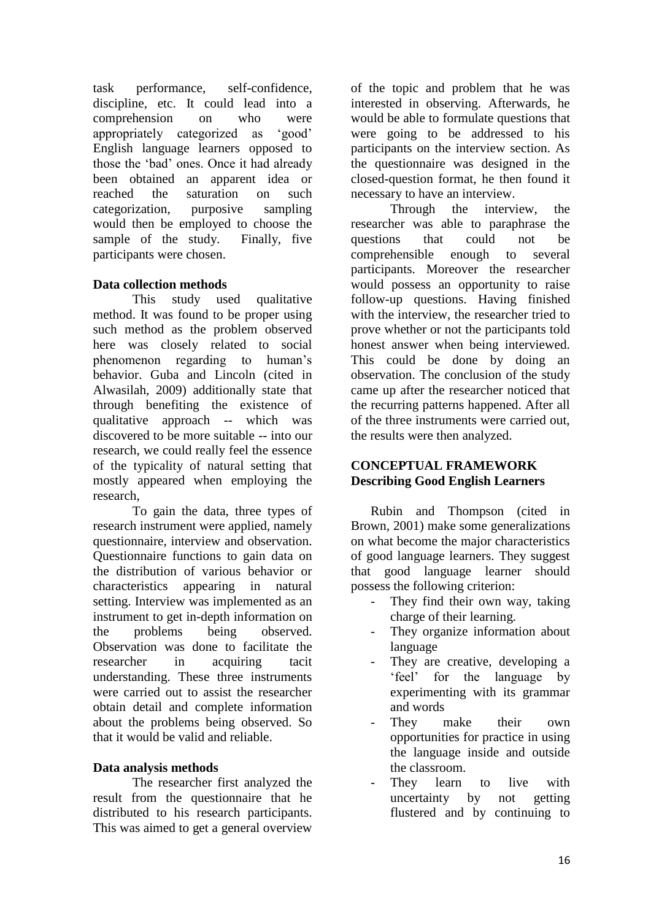task performance, self-confidence, discipline, etc. It could lead into a comprehension on who were appropriately categorized as 'good' English language learners opposed to those the 'bad' ones. Once it had already been obtained an apparent idea or reached the saturation on such categorization, purposive sampling would then be employed to choose the sample of the study. Finally, five participants were chosen.

# **Data collection methods**

This study used qualitative method. It was found to be proper using such method as the problem observed here was closely related to social phenomenon regarding to human's behavior. Guba and Lincoln (cited in Alwasilah, 2009) additionally state that through benefiting the existence of qualitative approach -- which was discovered to be more suitable -- into our research, we could really feel the essence of the typicality of natural setting that mostly appeared when employing the research,

To gain the data, three types of research instrument were applied, namely questionnaire, interview and observation. Questionnaire functions to gain data on the distribution of various behavior or characteristics appearing in natural setting. Interview was implemented as an instrument to get in-depth information on the problems being observed. Observation was done to facilitate the researcher in acquiring tacit understanding. These three instruments were carried out to assist the researcher obtain detail and complete information about the problems being observed. So that it would be valid and reliable.

# **Data analysis methods**

The researcher first analyzed the result from the questionnaire that he distributed to his research participants. This was aimed to get a general overview

of the topic and problem that he was interested in observing. Afterwards, he would be able to formulate questions that were going to be addressed to his participants on the interview section. As the questionnaire was designed in the closed-question format, he then found it necessary to have an interview.

Through the interview, the researcher was able to paraphrase the questions that could not be comprehensible enough to several participants. Moreover the researcher would possess an opportunity to raise follow-up questions. Having finished with the interview, the researcher tried to prove whether or not the participants told honest answer when being interviewed. This could be done by doing an observation. The conclusion of the study came up after the researcher noticed that the recurring patterns happened. After all of the three instruments were carried out, the results were then analyzed.

### **CONCEPTUAL FRAMEWORK Describing Good English Learners**

Rubin and Thompson (cited in Brown, 2001) make some generalizations on what become the major characteristics of good language learners. They suggest that good language learner should possess the following criterion:

- They find their own way, taking charge of their learning.
- They organize information about language
- They are creative, developing a 'feel' for the language by experimenting with its grammar and words
- They make their own opportunities for practice in using the language inside and outside the classroom.
- They learn to live with uncertainty by not getting flustered and by continuing to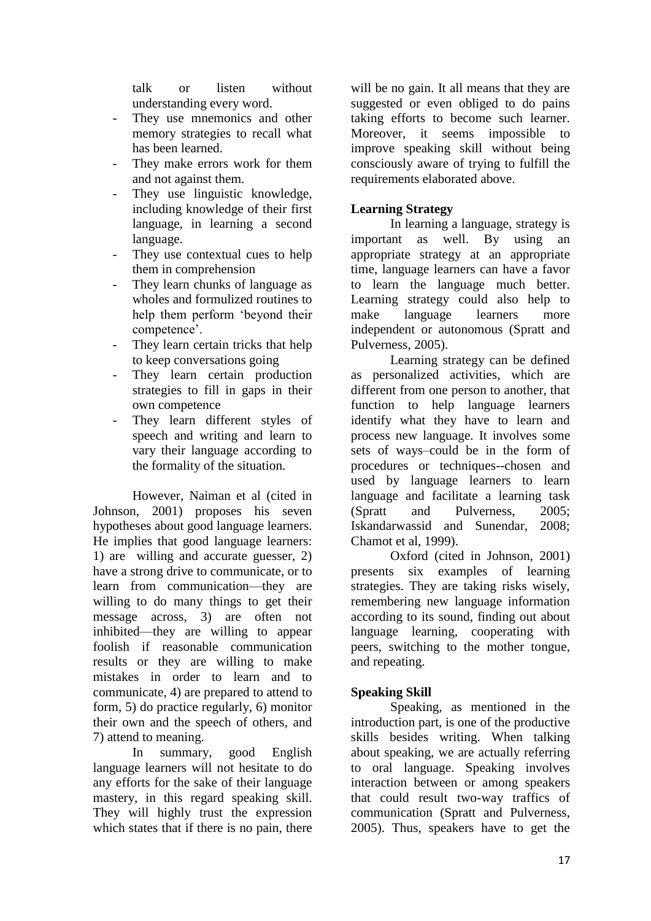talk or listen without understanding every word.

- They use mnemonics and other memory strategies to recall what has been learned.
- They make errors work for them and not against them.
- They use linguistic knowledge, including knowledge of their first language, in learning a second language.
- They use contextual cues to help them in comprehension
- They learn chunks of language as wholes and formulized routines to help them perform 'beyond their competence'.
- They learn certain tricks that help to keep conversations going
- They learn certain production strategies to fill in gaps in their own competence
- They learn different styles of speech and writing and learn to vary their language according to the formality of the situation.

However, Naiman et al (cited in Johnson, 2001) proposes his seven hypotheses about good language learners. He implies that good language learners: 1) are willing and accurate guesser, 2) have a strong drive to communicate, or to learn from communication—they are willing to do many things to get their message across, 3) are often not inhibited—they are willing to appear foolish if reasonable communication results or they are willing to make mistakes in order to learn and to communicate, 4) are prepared to attend to form, 5) do practice regularly, 6) monitor their own and the speech of others, and 7) attend to meaning.

In summary, good English language learners will not hesitate to do any efforts for the sake of their language mastery, in this regard speaking skill. They will highly trust the expression which states that if there is no pain, there

will be no gain. It all means that they are suggested or even obliged to do pains taking efforts to become such learner. Moreover, it seems impossible to improve speaking skill without being consciously aware of trying to fulfill the requirements elaborated above.

## **Learning Strategy**

In learning a language, strategy is important as well. By using an appropriate strategy at an appropriate time, language learners can have a favor to learn the language much better. Learning strategy could also help to make language learners more independent or autonomous (Spratt and Pulverness, 2005).

Learning strategy can be defined as personalized activities, which are different from one person to another, that function to help language learners identify what they have to learn and process new language. It involves some sets of ways–could be in the form of procedures or techniques--chosen and used by language learners to learn language and facilitate a learning task (Spratt and Pulverness, 2005; Iskandarwassid and Sunendar, 2008; Chamot et al, 1999).

Oxford (cited in Johnson, 2001) presents six examples of learning strategies. They are taking risks wisely, remembering new language information according to its sound, finding out about language learning, cooperating with peers, switching to the mother tongue, and repeating.

### **Speaking Skill**

Speaking, as mentioned in the introduction part, is one of the productive skills besides writing. When talking about speaking, we are actually referring to oral language. Speaking involves interaction between or among speakers that could result two-way traffics of communication (Spratt and Pulverness, 2005). Thus, speakers have to get the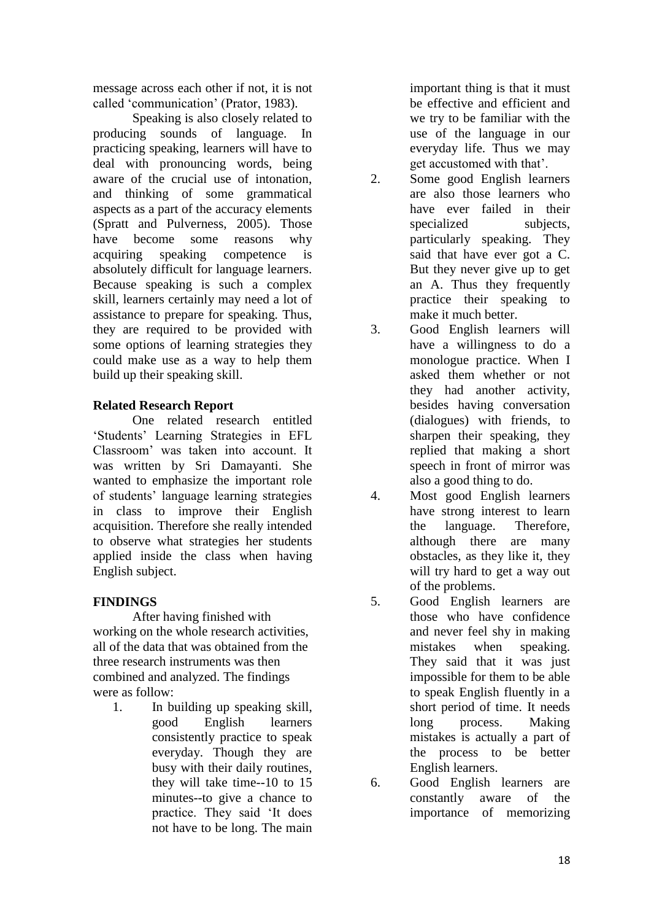message across each other if not, it is not called 'communication' (Prator, 1983).

Speaking is also closely related to producing sounds of language. In practicing speaking, learners will have to deal with pronouncing words, being aware of the crucial use of intonation, and thinking of some grammatical aspects as a part of the accuracy elements (Spratt and Pulverness, 2005). Those have become some reasons why acquiring speaking competence is absolutely difficult for language learners. Because speaking is such a complex skill, learners certainly may need a lot of assistance to prepare for speaking. Thus, they are required to be provided with some options of learning strategies they could make use as a way to help them build up their speaking skill.

### **Related Research Report**

One related research entitled 'Students' Learning Strategies in EFL Classroom' was taken into account. It was written by Sri Damayanti. She wanted to emphasize the important role of students' language learning strategies in class to improve their English acquisition. Therefore she really intended to observe what strategies her students applied inside the class when having English subject.

# **FINDINGS**

After having finished with working on the whole research activities, all of the data that was obtained from the three research instruments was then combined and analyzed. The findings were as follow:

1. In building up speaking skill, good English learners consistently practice to speak everyday. Though they are busy with their daily routines, they will take time--10 to 15 minutes--to give a chance to practice. They said 'It does not have to be long. The main

important thing is that it must be effective and efficient and we try to be familiar with the use of the language in our everyday life. Thus we may get accustomed with that'.

- 2. Some good English learners are also those learners who have ever failed in their specialized subjects. particularly speaking. They said that have ever got a C. But they never give up to get an A. Thus they frequently practice their speaking to make it much better.
- 3. Good English learners will have a willingness to do a monologue practice. When I asked them whether or not they had another activity, besides having conversation (dialogues) with friends, to sharpen their speaking, they replied that making a short speech in front of mirror was also a good thing to do.
- 4. Most good English learners have strong interest to learn the language. Therefore, although there are many obstacles, as they like it, they will try hard to get a way out of the problems.
- 5. Good English learners are those who have confidence and never feel shy in making mistakes when speaking. They said that it was just impossible for them to be able to speak English fluently in a short period of time. It needs long process. Making mistakes is actually a part of the process to be better English learners.
- 6. Good English learners are constantly aware of the importance of memorizing